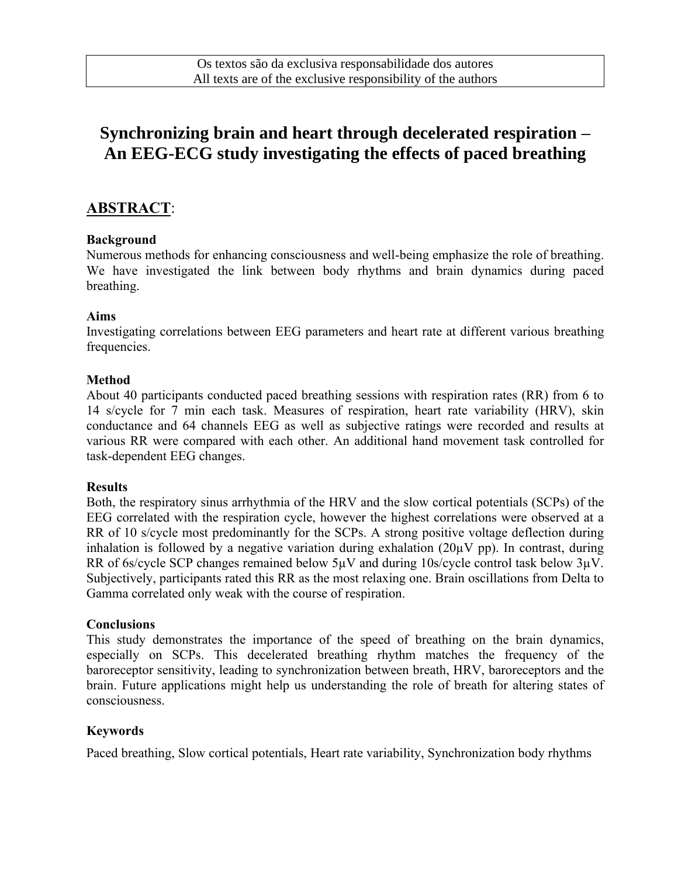# **Synchronizing brain and heart through decelerated respiration – An EEG-ECG study investigating the effects of paced breathing**

### **ABSTRACT**:

#### **Background**

Numerous methods for enhancing consciousness and well-being emphasize the role of breathing. We have investigated the link between body rhythms and brain dynamics during paced breathing.

#### **Aims**

Investigating correlations between EEG parameters and heart rate at different various breathing frequencies.

#### **Method**

About 40 participants conducted paced breathing sessions with respiration rates (RR) from 6 to 14 s/cycle for 7 min each task. Measures of respiration, heart rate variability (HRV), skin conductance and 64 channels EEG as well as subjective ratings were recorded and results at various RR were compared with each other. An additional hand movement task controlled for task-dependent EEG changes.

#### **Results**

Both, the respiratory sinus arrhythmia of the HRV and the slow cortical potentials (SCPs) of the EEG correlated with the respiration cycle, however the highest correlations were observed at a RR of 10 s/cycle most predominantly for the SCPs. A strong positive voltage deflection during inhalation is followed by a negative variation during exhalation  $(20\mu V \text{ pp})$ . In contrast, during RR of 6s/cycle SCP changes remained below 5µV and during 10s/cycle control task below 3µV. Subjectively, participants rated this RR as the most relaxing one. Brain oscillations from Delta to Gamma correlated only weak with the course of respiration.

#### **Conclusions**

This study demonstrates the importance of the speed of breathing on the brain dynamics, especially on SCPs. This decelerated breathing rhythm matches the frequency of the baroreceptor sensitivity, leading to synchronization between breath, HRV, baroreceptors and the brain. Future applications might help us understanding the role of breath for altering states of consciousness.

#### **Keywords**

Paced breathing, Slow cortical potentials, Heart rate variability, Synchronization body rhythms